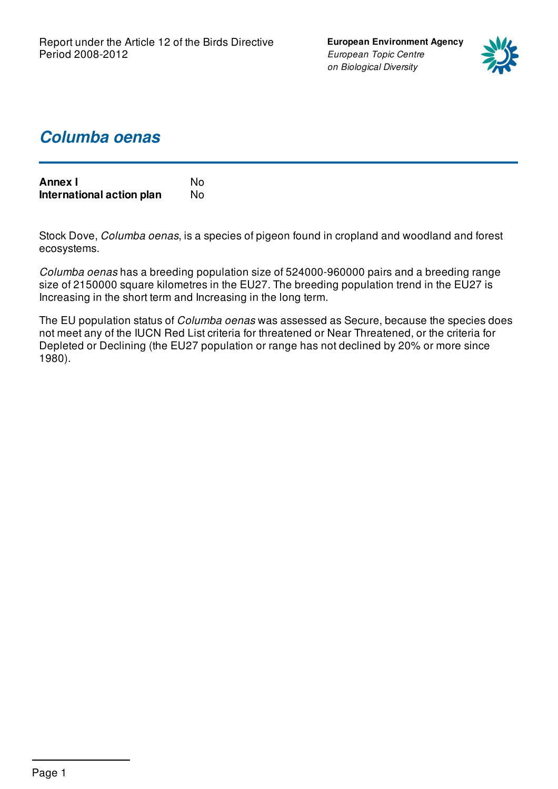**European Environment Agency** *European Topic Centre on Biological Diversity*



## *Columba oenas*

| <b>Annex I</b>            | N٥  |
|---------------------------|-----|
| International action plan | No. |

Stock Dove, *Columba oenas*, is a species of pigeon found in cropland and woodland and forest ecosystems.

*Columba oenas* has a breeding population size of 524000-960000 pairs and a breeding range size of 2150000 square kilometres in the EU27. The breeding population trend in the EU27 is Increasing in the short term and Increasing in the long term.

The EU population status of *Columba oenas* was assessed as Secure, because the species does not meet any of the IUCN Red List criteria for threatened or Near Threatened, or the criteria for Depleted or Declining (the EU27 population or range has not declined by 20% or more since 1980).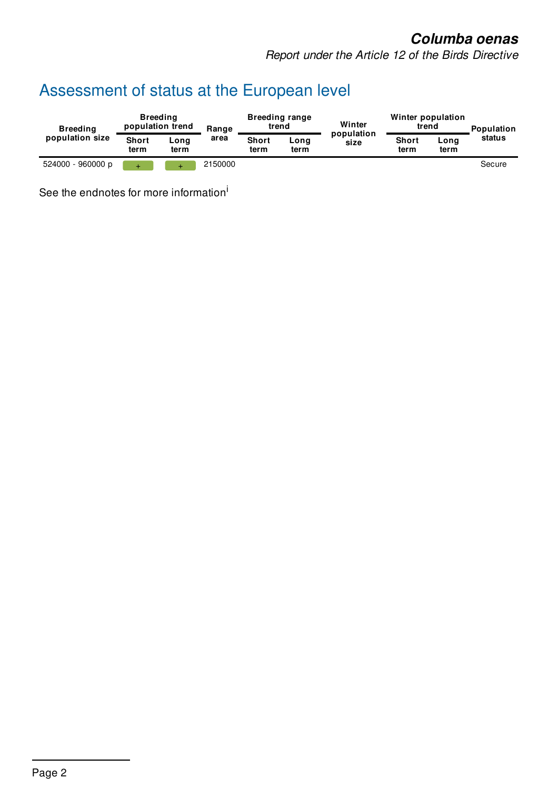### *Columba oenas*

*Report under the Article 12 of the Birds Directive*

# Assessment of status at the European level

| <b>Breeding</b><br>population size | <b>Breeding</b><br>population trend |                       | <b>Breeding range</b><br>trend<br>Range |                      | Winter<br>population | Winter population<br>trend |                      | <b>Population</b> |        |
|------------------------------------|-------------------------------------|-----------------------|-----------------------------------------|----------------------|----------------------|----------------------------|----------------------|-------------------|--------|
|                                    | <b>Short</b><br>term                | $\text{Long}$<br>term | area                                    | <b>Short</b><br>term | Long<br>term         | size                       | <b>Short</b><br>term | Long<br>term      | status |
| 524000 - 960000 p                  |                                     |                       | 2150000                                 |                      |                      |                            |                      |                   | Secure |

See the endnotes for more information<sup>i</sup>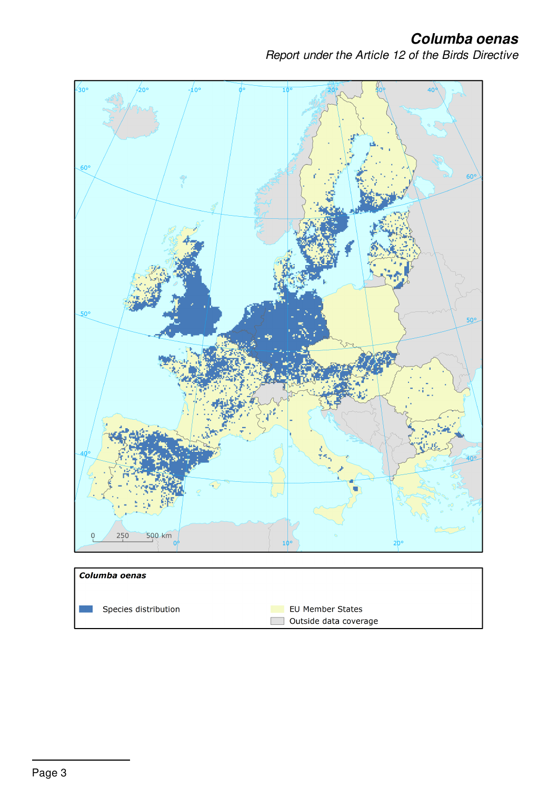*Columba oenas*

*Report under the Article 12 of the Birds Directive*

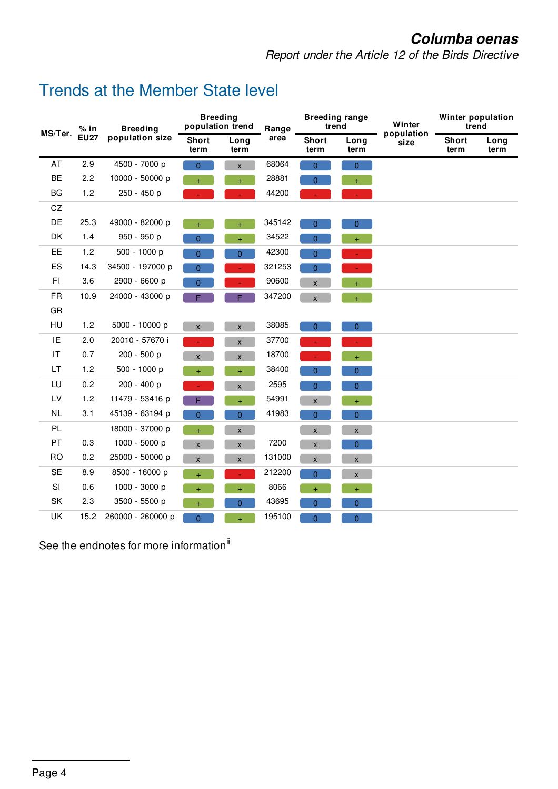### *Columba oenas*

*Report under the Article 12 of the Birds Directive*

### Trends at the Member State level

| $%$ in<br>MS/Ter.      | <b>Breeding</b> | <b>Breeding</b><br>population trend |                      | Range              | <b>Breeding range</b><br>trend |                      | Winter<br>population | Winter population<br>trend |                      |              |
|------------------------|-----------------|-------------------------------------|----------------------|--------------------|--------------------------------|----------------------|----------------------|----------------------------|----------------------|--------------|
|                        | <b>EU27</b>     | population size                     | <b>Short</b><br>term | Long<br>term       | area                           | <b>Short</b><br>term | Long<br>term         | size                       | <b>Short</b><br>term | Long<br>term |
| AT                     | 2.9             | 4500 - 7000 p                       | $\overline{0}$       | $\mathsf{X}^-$     | 68064                          | $\overline{0}$       | $\overline{0}$       |                            |                      |              |
| <b>BE</b>              | 2.2             | 10000 - 50000 p                     | $+$                  | $+$                | 28881                          | $\overline{0}$       | $+$                  |                            |                      |              |
| BG                     | 1.2             | 250 - 450 p                         |                      |                    | 44200                          |                      |                      |                            |                      |              |
| CZ                     |                 |                                     |                      |                    |                                |                      |                      |                            |                      |              |
| DE                     | 25.3            | 49000 - 82000 p                     | $+$                  | $\ddot{}$          | 345142                         | $\overline{0}$       | $\overline{0}$       |                            |                      |              |
| <b>DK</b>              | 1.4             | 950 - 950 p                         | $\overline{0}$       | $\ddot{}$          | 34522                          | $\mathbf{0}$         | Ŧ,                   |                            |                      |              |
| EE                     | 1.2             | 500 - 1000 p                        | $\overline{0}$       | $\overline{0}$     | 42300                          | $\overline{0}$       |                      |                            |                      |              |
| ES                     | 14.3            | 34500 - 197000 p                    | $\overline{0}$       |                    | 321253                         | $\overline{0}$       |                      |                            |                      |              |
| FI                     | 3.6             | 2900 - 6600 p                       | 0                    |                    | 90600                          | $\pmb{\mathsf{X}}$   | $\ddot{}$            |                            |                      |              |
| <b>FR</b>              | 10.9            | 24000 - 43000 p                     | Е                    | F.                 | 347200                         | $\pmb{\times}$       | $+$                  |                            |                      |              |
| GR                     |                 |                                     |                      |                    |                                |                      |                      |                            |                      |              |
| HU                     | 1.2             | 5000 - 10000 p                      | X                    | $\pmb{\mathsf{X}}$ | 38085                          | $\overline{0}$       | $\overline{0}$       |                            |                      |              |
| IE                     | 2.0             | 20010 - 57670 i                     |                      | $\pmb{\mathsf{x}}$ | 37700                          |                      |                      |                            |                      |              |
| $\mathsf{I}\mathsf{T}$ | 0.7             | 200 - 500 p                         | $\mathsf{X}$         | $\pmb{\mathsf{X}}$ | 18700                          |                      | $+$                  |                            |                      |              |
| LT                     | 1.2             | 500 - 1000 p                        | Ŧ                    | $\ddot{}$          | 38400                          | 0                    | $\overline{0}$       |                            |                      |              |
| LU                     | 0.2             | 200 - 400 p                         |                      | $\mathsf{x}$       | 2595                           | $\overline{0}$       | $\overline{0}$       |                            |                      |              |
| LV                     | 1.2             | 11479 - 53416 p                     | F                    | $\ddot{}$          | 54991                          | $\pmb{\mathsf{x}}$   | $+$                  |                            |                      |              |
| <b>NL</b>              | 3.1             | 45139 - 63194 p                     | 0                    | $\overline{0}$     | 41983                          | $\overline{0}$       | $\overline{0}$       |                            |                      |              |
| PL                     |                 | 18000 - 37000 p                     | $\ddot{}$            | $\mathsf X$        |                                | $\pmb{\chi}$         | $\mathsf{X}$         |                            |                      |              |
| PT                     | 0.3             | 1000 - 5000 p                       | $\mathsf{X}$         | $\pmb{\mathsf{X}}$ | 7200                           | $\mathsf X$          | $\overline{0}$       |                            |                      |              |
| <b>RO</b>              | 0.2             | 25000 - 50000 p                     | X                    | X                  | 131000                         | $\pmb{\mathsf{X}}$   | $\pmb{\mathsf{X}}$   |                            |                      |              |
| <b>SE</b>              | 8.9             | 8500 - 16000 p                      |                      |                    | 212200                         | $\overline{0}$       | $\mathsf X$          |                            |                      |              |
| SI                     | 0.6             | 1000 - 3000 p                       | $+$                  | $+$                | 8066                           | $+$                  | $+$                  |                            |                      |              |
| SK                     | 2.3             | 3500 - 5500 p                       | $\ddot{}$            | 0                  | 43695                          | $\overline{0}$       | $\overline{0}$       |                            |                      |              |
| UK                     | 15.2            | 260000 - 260000 p                   | 0                    | $\ddot{}$          | 195100                         | $\overline{0}$       | $\overline{0}$       |                            |                      |              |

See the endnotes for more information<sup>ii</sup>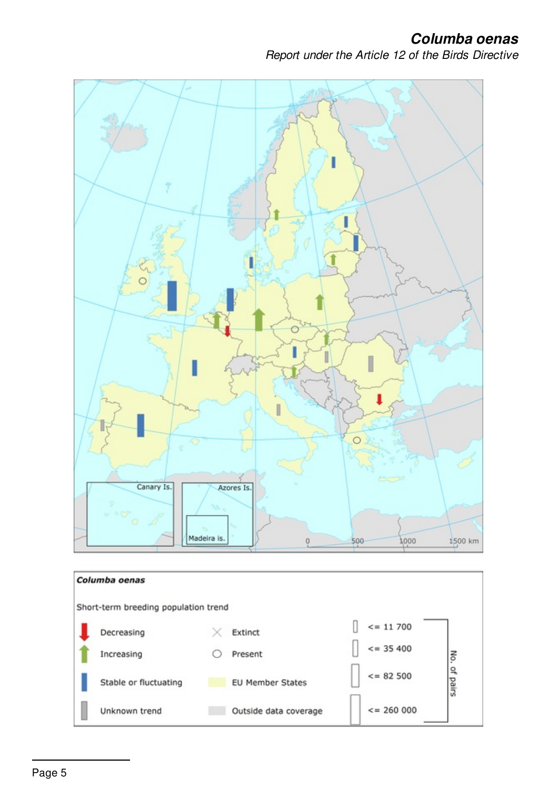*Columba oenas*

*Report under the Article 12 of the Birds Directive*

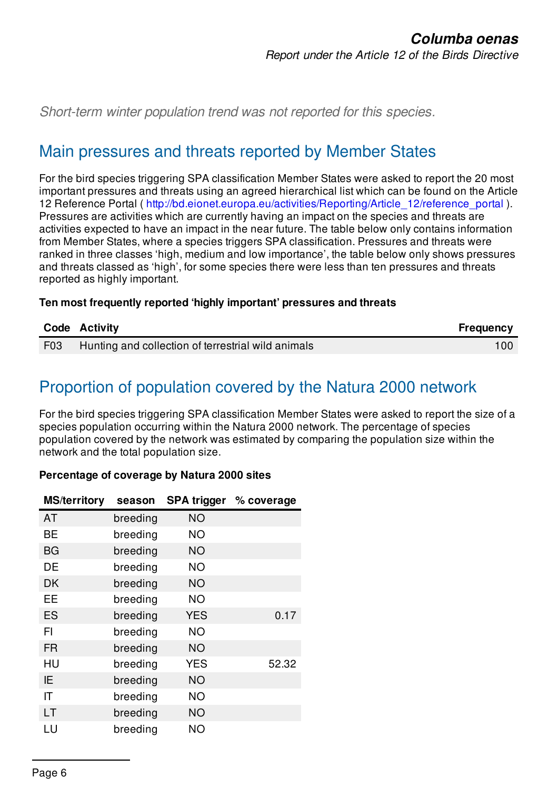*Short-term winter population trend was not reported for this species.*

### Main pressures and threats reported by Member States

For the bird species triggering SPA classification Member States were asked to report the 20 most important pressures and threats using an agreed hierarchical list which can be found on the Article 12 Reference Portal ( [http://bd.eionet.europa.eu/activities/Reporting/Article\\_12/reference\\_portal](http://bd.eionet.europa.eu/activities/Reporting/Article_12/reference_portal) ). Pressures are activities which are currently having an impact on the species and threats are activities expected to have an impact in the near future. The table below only contains information from Member States, where a species triggers SPA classification. Pressures and threats were ranked in three classes 'high, medium and low importance', the table below only shows pressures and threats classed as 'high', for some species there were less than ten pressures and threats reported as highly important.

#### **Ten most frequently reported 'highly important' pressures and threats**

|     | Code Activity                                      | <b>Frequency</b> |
|-----|----------------------------------------------------|------------------|
| F03 | Hunting and collection of terrestrial wild animals | $100^{\circ}$    |

# Proportion of population covered by the Natura 2000 network

For the bird species triggering SPA classification Member States were asked to report the size of a species population occurring within the Natura 2000 network. The percentage of species population covered by the network was estimated by comparing the population size within the network and the total population size.

#### **Percentage of coverage by Natura 2000 sites**

| <b>MS/territory</b> | season   | <b>SPA trigger</b> | % coverage |
|---------------------|----------|--------------------|------------|
| AT                  | breeding | <b>NO</b>          |            |
| BE                  | breeding | <b>NO</b>          |            |
| <b>BG</b>           | breeding | <b>NO</b>          |            |
| DE                  | breeding | <b>NO</b>          |            |
| <b>DK</b>           | breeding | NO                 |            |
| EЕ                  | breeding | <b>NO</b>          |            |
| <b>ES</b>           | breeding | <b>YES</b>         | 0.17       |
| FI                  | breeding | <b>NO</b>          |            |
| <b>FR</b>           | breeding | NO                 |            |
| HU                  | breeding | <b>YES</b>         | 52.32      |
| ΙE                  | breeding | <b>NO</b>          |            |
| ΙT                  | breeding | <b>NO</b>          |            |
| LT                  | breeding | NO                 |            |
| LU                  | breeding | ΝO                 |            |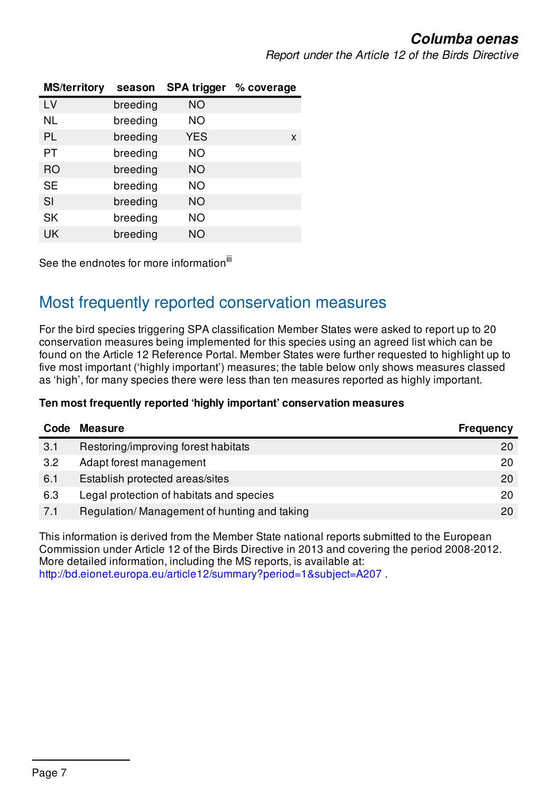*Report under the Article 12 of the Birds Directive*

| <b>MS/territory</b> | season   | <b>SPA trigger</b> | % coverage |
|---------------------|----------|--------------------|------------|
| LV                  | breeding | <b>NO</b>          |            |
| <b>NL</b>           | breeding | <b>NO</b>          |            |
| <b>PL</b>           | breeding | <b>YES</b>         | X          |
| PT                  | breeding | NO.                |            |
| <b>RO</b>           | breeding | <b>NO</b>          |            |
| <b>SE</b>           | breeding | <b>NO</b>          |            |
| SI                  | breeding | NO                 |            |
| <b>SK</b>           | breeding | <b>NO</b>          |            |
| UK                  | breeding | NΟ                 |            |

See the endnotes for more information<sup>iii</sup>

### Most frequently reported conservation measures

For the bird species triggering SPA classification Member States were asked to report up to 20 conservation measures being implemented for this species using an agreed list which can be found on the Article 12 Reference Portal. Member States were further requested to highlight up to five most important ('highly important') measures; the table below only shows measures classed as 'high', for many species there were less than ten measures reported as highly important.

#### **Ten most frequently reported 'highly important' conservation measures**

| Code | <b>Measure</b>                              | <b>Frequency</b> |
|------|---------------------------------------------|------------------|
| 3.1  | Restoring/improving forest habitats         | 20               |
| 3.2  | Adapt forest management                     | 20               |
| 6.1  | Establish protected areas/sites             | 20               |
| 6.3  | Legal protection of habitats and species    | 20               |
| 7.1  | Regulation/Management of hunting and taking | 20               |

This information is derived from the Member State national reports submitted to the European Commission under Article 12 of the Birds Directive in 2013 and covering the period 2008-2012. More detailed information, including the MS reports, is available at: <http://bd.eionet.europa.eu/article12/summary?period=1&subject=A207> .